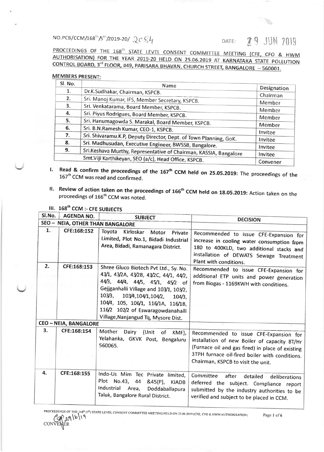NO.PCB/CCM/168<sup>th</sup>/5<sup>th</sup>/2019-20/,  $2cS4$  DATE: **2.9** JUN 2019.<br>Proceedings of the 168<sup>th</sup> state level consent committee meeting (cfe, cfo & HWM AUTHORISATION) FOR THE YEAR 2019-20 HELD ON 25.06.2019 AT KARNATAKA STATE POLLUTION CONTROL BOARD, 3<sup>rd</sup> FLOOR, #49, PARISARA BHAVAN, CHURCH STREET, BANGALORE - 560001.

## **MEMBERS PRESENT:**

| SI. No. | Name                                                                                    | Designation        |  |  |
|---------|-----------------------------------------------------------------------------------------|--------------------|--|--|
| 1.      | Dr.K.Sudhakar, Chairman, KSPCB.                                                         |                    |  |  |
| 2.      | Sri. Manoj Kumar, IFS, Member Secretary, KSPCB.                                         | Chairman<br>Member |  |  |
| 3.      | Sri. Venkatarama, Board Member, KSPCB.<br>Member                                        |                    |  |  |
| 4.      | Sri. Piyus Rodrigues, Board Member, KSPCB.<br>Member                                    |                    |  |  |
| 5.      | Sri. Hanumagowda S. Marakal, Board Member, KSPCB.<br>Member                             |                    |  |  |
| 6.      | Sri. B.N.Ramesh Kumar, CEO-1, KSPCB.                                                    |                    |  |  |
| 7.      | Invitee<br>Sri. Shivaramu.K.P, Deputy Director, Dept. of Town Planning, GoK.<br>Invitee |                    |  |  |
| 8.      | Sri. Madhusudan, Executive Engineer, BWSSB, Bangalore.                                  |                    |  |  |
| 9.      | Sri.Keshava Murthy, Representative of Chairman, KASSIA, Bangalore                       | Invitee<br>Invitee |  |  |
|         | Smt.Viji Karthikeyan, SEO (a/c), Head Office, KSPCB.                                    | Convener           |  |  |

- I. Read & confirm the proceedings of the  $167<sup>th</sup>$  CCM held on 25.05.2019: The proceedings of the 167<sup>th</sup> CCM was read and confirmed.
- II. Review of action taken on the proceedings of  $166^{th}$  CCM held on 18.05.2019: Action taken on the proceedings of  $166^{th}$  CCM was noted.

III. 168<sup>th</sup> CCM :- CFE SUBJECTS

| SI.No. | <b>AGENDA NO.</b>            | <b>SUBJECT</b>                                                                                                                                                                                                                                                                                                              |                                                                                                                                                                                                                                    |
|--------|------------------------------|-----------------------------------------------------------------------------------------------------------------------------------------------------------------------------------------------------------------------------------------------------------------------------------------------------------------------------|------------------------------------------------------------------------------------------------------------------------------------------------------------------------------------------------------------------------------------|
|        |                              | SEO - NEIA, OTHER THAN BANGALORE                                                                                                                                                                                                                                                                                            | <b>DECISION</b>                                                                                                                                                                                                                    |
| 1.     | CFE:168:152                  | Toyota<br>Kirloskar<br>Motor Private<br>Limited, Plot No.1, Bidadi Industrial<br>Area, Bidadi, Ramanagara District.                                                                                                                                                                                                         | Recommended to issue CFE-Expansion for<br>increase in cooling water consumption from<br>180 to 400KLD, two additional stacks and<br>installation of DEWATS Sewage Treatment<br>Plant with conditions.                              |
| 2.     | CFE:168:153                  | Shree Gluco Biotech Pvt Ltd., Sy. No.<br>43/1, 43/2A, 43/2B, 43/2C, 44/1, 44/2,<br>44/3, 44/4, 44/5, 45/1, 45/2 of<br>Gejjganhalli Village and 103/1, 103/2,<br>103/3,<br>103/4,104/1,104/2,<br>$104/3$ ,<br>104/4, 105, 106/1, 116/1A, 116/1B,<br>116/2 102/2 of Eswaragowdanahalli<br>Village, Nanjangud Tq, Mysore Dist. | Recommended to issue CFE-Expansion for<br>additional ETP units and power generation<br>from Biogas - 1169KWH with conditions.                                                                                                      |
|        | <b>CEO - NEIA, BANGALORE</b> |                                                                                                                                                                                                                                                                                                                             |                                                                                                                                                                                                                                    |
| 3.     | CFE:168:154                  | Mother<br>Dairy<br>(Unit<br>of KMF),<br>Yelahanka, GKVK Post, Bengaluru<br>560065.                                                                                                                                                                                                                                          | Recommended to issue CFE-Expansion for<br>installation of new Boiler of capacity 8T/Hr<br>(Furnace oil and gas fired) in place of existing<br>3TPH furnace oil-fired boiler with conditions.<br>Chairman, KSPCB to visit the unit. |
| 4.     | CFE:168:155                  | Indo-Us Mim Tec Private limited,<br>Plot No.43, 44<br>&45(P)<br><b>KIADB</b><br>Industrial Area,<br>Doddaballapura<br>Taluk, Bangalore Rural District.                                                                                                                                                                      | Committee<br>after<br>detailed<br>deliberations<br>deferred the subject. Compliance report<br>submitted by the industry authorities to be<br>verified and subject to be placed in CCM.                                             |

PROCEEDINGS OF THE 168<sup>th</sup> (5<sup>8</sup>) STATE LEVEL CONSENT COMMITTEE MEETING HELD ON 25.06.2019 (CFE, CFO & HWM AUTHORISATION; Page 1 of 6<br>A ... a | b | 1 **q**  $\mathscr{D}^{29}$ **CONVENER**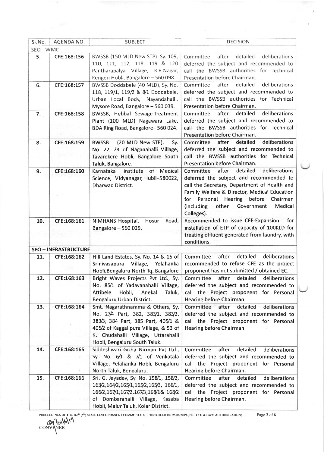| SI.No.    | AGENDA NO.                  | <b>SUBJECT</b>                                                                                                                                                 | <b>DECISION</b>                                                                                                                                                                                                                                                                                  |
|-----------|-----------------------------|----------------------------------------------------------------------------------------------------------------------------------------------------------------|--------------------------------------------------------------------------------------------------------------------------------------------------------------------------------------------------------------------------------------------------------------------------------------------------|
| SEO - WMC |                             |                                                                                                                                                                |                                                                                                                                                                                                                                                                                                  |
| 5.        | CFE:168:156                 | BWSSB (150 MLD New STP) Sy. 109,<br>110, 111, 112, 118, 119 & 120<br>Pantharapalya Village, R.R.Nagar,<br>Kengeri Hobli, Bangalore - 560 098.                  | after<br>detailed<br>deliberations<br>Committee<br>deferred the subject and recommended to<br>call the BWSSB authorities for Technical<br>Presentation before Chairman.                                                                                                                          |
| 6.        | CFE:168:157                 | BWSSB Doddabele (40 MLD), Sy. No.<br>118, 119/1, 119/2 & 8/1 Doddabele,<br>Urban Local Body, Nayandahalli,<br>Mysore Road, Bangalore - 560 039.                | after<br>detailed<br>deliberations<br>Committee<br>deferred the subject and recommended to<br>call the BWSSB authorities for Technical<br>Presentation before Chairman.                                                                                                                          |
| 7.        | CFE:168:158                 | BWSSB, Hebbal Sewage Treatment<br>Plant (100 MLD) Nagawara Lake,<br>BDA Ring Road, Bangalore-560 024.                                                          | detailed<br>after<br>deliberations<br>Committee<br>deferred the subject and recommended to<br>call the BWSSB authorities for Technical<br>Presentation before Chairman.                                                                                                                          |
| 8.        | CFE:168:159                 | (20 MLD New STP),<br><b>BWSSB</b><br>Sy.<br>No. 22, 24 of Naganahalli Village,<br>Tavarekere Hobli, Bangalore South<br>Taluk, Bangalore.                       | after<br>detailed<br>deliberations<br>Committee<br>deferred the subject and recommended to<br>call the BWSSB authorities for Technical<br>Presentation before Chairman.                                                                                                                          |
| 9.        | CFE:168:160                 | Institute of Medical<br>Karnataka<br>Science, Vidyanagar, Hubli-580022,<br><b>Dharwad District.</b>                                                            | after<br>detailed<br>deliberations<br>Committee<br>deferred the subject and recommended to<br>call the Secretary, Department of Health and<br>Family Welfare & Director, Medical Education<br>for Personal Hearing before Chairman<br>(including<br>other<br>Government<br>Medical<br>Colleges). |
| 10.       | CFE:168:161                 | NIMHANS Hospital,<br>Road,<br>Hosur<br>Bangalore - 560 029.                                                                                                    | Recommended to issue CFE-Expansion<br>for<br>installation of ETP of capacity of 100KLD for<br>treating effluent generated from laundry, with<br>conditions.                                                                                                                                      |
|           | <b>SEO - INFRASTRUCTURE</b> |                                                                                                                                                                |                                                                                                                                                                                                                                                                                                  |
| 11.       | CFE:168:162                 | Hill Land Estates, Sy. No. 14 & 15 of<br>Srinivasapura<br>Village, Yelahanka<br>Hobli, Bengaluru North Tq, Bangalore                                           | detailed<br>deliberations<br>Committee<br>after<br>recommended to refuse CFE as the project<br>proponent has not submitted / obtained EC.                                                                                                                                                        |
| 12.       | CFE:168:163                 | Bright Waves Projects Pvt Ltd., Sy.<br>No. 85/1 of Yadavanahalli Village,<br>Attibele<br>Hobli, Anekal<br>Taluk,<br>Bengaluru Urban District.                  | Committee<br>after<br>detailed<br>deliberations<br>deferred the subject and recommended to<br>call the Project proponent for Personal<br>Hearing before Chairman.                                                                                                                                |
| 13.       | CFE:168:164                 | Smt. Nagarathnamma & Others, Sy.<br>No. 27/4 Part, 382, 383/1, 383/2,<br>383/3, 384 Part, 385 Part, 405/1 &<br>405/2 of Kaggalipura Village, & 53 of           | Committee<br>after<br>detailed<br>deliberations<br>deferred the subject and recommended to<br>call the Project proponent for Personal<br>Hearing before Chairman.                                                                                                                                |
|           |                             | K. Chudahalli Village, Uttarahalli<br>Hobli, Bengaluru South Taluk.                                                                                            |                                                                                                                                                                                                                                                                                                  |
| 14.       | CFE:168:165                 | Siddeshwari Griha Nirman Pvt Ltd.,<br>Sy. No. 6/1 & 7/1 of Venkatala<br>Village, Yelahanka Hobli, Bengaluru<br>North Taluk, Bengaluru.                         | detailed<br>Committee<br>after<br>deliberations<br>deferred the subject and recommended to<br>call the Project proponent for Personal<br>Hearing before Chairman.                                                                                                                                |
| 15.<br>55 | CFE:168:166                 | Sri. G. Jayadev, Sy. No. 158/1, 158/2,<br>163/2, 164/2, 165/1, 165/2, 165/3, 166/1,<br>166/2,167/1,167/2,167/3,168/1& 168/2<br>of Dombarahalli Village, Kasaba | Committee<br>after<br>detailed<br>deliberations<br>deferred the subject and recommended to<br>call the Project proponent for Personal<br>Hearing before Chairman.                                                                                                                                |
|           |                             | Hobli, Malur Taluk, Kolar District.                                                                                                                            |                                                                                                                                                                                                                                                                                                  |

PROCEEDINGS OF THE 168<sup>th</sup> (5<sup>th</sup>) STATE LEVEL CONSENT COMMITTEE MEETING HELD ON 25.06.2019 (CFE, CFO & HWM AUTHORISATION j*Page 2* of 6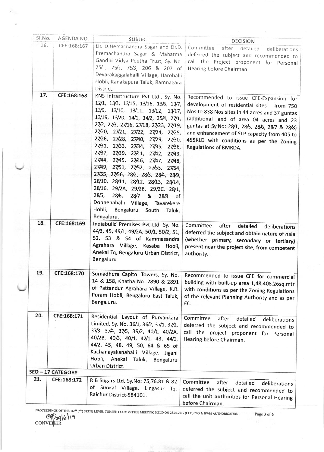| Sl.No. | AGENDA NO.        | <b>SUBJECT</b>                                                                                                                                                                                                                                                                                                                                                                                                                                                                                                                                                                                                                                                                                                | DECISION                                                                                                                                                                                                                                                                                                                                                    |
|--------|-------------------|---------------------------------------------------------------------------------------------------------------------------------------------------------------------------------------------------------------------------------------------------------------------------------------------------------------------------------------------------------------------------------------------------------------------------------------------------------------------------------------------------------------------------------------------------------------------------------------------------------------------------------------------------------------------------------------------------------------|-------------------------------------------------------------------------------------------------------------------------------------------------------------------------------------------------------------------------------------------------------------------------------------------------------------------------------------------------------------|
| 16.    | CFE:168:167       | Dr. D.Hemachandra Sagar and Dr.D.                                                                                                                                                                                                                                                                                                                                                                                                                                                                                                                                                                                                                                                                             | Committee<br>after<br>detailed<br>deliberations                                                                                                                                                                                                                                                                                                             |
|        |                   | Premachandra Sagar & Mahatma<br>Gandhi Vidya Peetha Trust, Sy. No.<br>75/1, 75/2, 75/3, 206 & 207 of<br>Devarakaggalahalli Village, Harohalli<br>Hobli, Kanakapura Taluk, Ramnagara<br>District.                                                                                                                                                                                                                                                                                                                                                                                                                                                                                                              | deferred the subject and recommended to<br>call the Project proponent for Personal<br>Hearing before Chairman.                                                                                                                                                                                                                                              |
| 17.    | CFE:168:168       | KNS Infrastructure Pvt Ltd., Sy. No.<br>12/1, 13/3, 13/15, 13/16, 13/6, 13/7,<br>13/9, 13/10, 13/11, 13/12, 13/17,<br>13/19, 13/20, 14/1, 14/2, 25/4, 27/1,<br>27/2, 27/3, 27/16, 27/18, 27/23, 27/19,<br>27/20, 27/21, 27/22, 27/24, 27/25,<br>27/26, 27/28, 27/40, 27/29, 27/30,<br>27/31, 27/33, 27/34, 27/35, 27/36,<br>27/37, 27/39, 27/41, 27/42,<br>27/43,<br>27/44, 27/45, 27/46,<br>27/47,<br>27/48,<br>27/49, 27/51, 27/52, 27/53, 27/54,<br>27/55, 27/56, 28/2, 28/3, 28/4, 28/9,<br>28/10, 28/11, 28/12, 28/13, 28/14,<br>28/16, 29/2A, 29/2B, 29/2C, 28/1,<br>28/5,<br>28/6,<br>28/7<br>&<br>28/8<br>of<br>Donnenahalli Village, Tavarekere<br>Hobli,<br>Bengaluru<br>South Taluk,<br>Bengaluru. | Recommended to issue CFE-Expansion for<br>development of residential sites<br>from 750<br>Nos to 838 Nos sites in 44 acres and 37 guntas<br>(additional land of area 04 acres and 23<br>guntas at Sy.No: 28/1, 28/5, 28/6, 28/7 & 28/8)<br>and enhancement of STP capacity from 405 to<br>455KLD with conditions as per the Zoning<br>Regulations of BMRDA. |
| 18.    | CFE:168:169       | Indiabuild Premises Pvt Ltd, Sy. No.<br>44/3, 45, 49/1, 49/2A, 50/1, 50/2, 51,<br>52, 53 & 54 of Kammasandra<br>Agrahara Village, Kasaba Hobli,<br>Anekal Tq, Bengaluru Urban District,<br>Bengaluru.                                                                                                                                                                                                                                                                                                                                                                                                                                                                                                         | Committee<br>after<br>detailed<br>deliberations<br>deferred the subject and obtain nature of nala<br>(whether primary, secondary or tertiary)<br>present near the project site, from competent<br>authority.                                                                                                                                                |
| 19.    | CFE:168:170       | Sumadhura Capitol Towers, Sy. No.<br>14 & 158, Khatha No. 2890 & 2891<br>of Pattandur Agrahara Village, K.R.<br>Puram Hobli, Bengaluru East Taluk,<br>Bengaluru.                                                                                                                                                                                                                                                                                                                                                                                                                                                                                                                                              | Recommended to issue CFE for commercial<br>building with built-up area 1,48,408.26sq.mtr<br>with conditions as per the Zoning Regulations<br>of the relevant Planning Authority and as per<br>EC.                                                                                                                                                           |
| 20.    | CFE:168:171       | Residential Layout of Purvankara<br>Limited, Sy. No. 36/1, 36/2, 37/1, 37/2,<br>37/3, 37/4, 37/5, 39/2, 40/1, 40/2A,<br>40/2B, 40/3, 40/4, 42/1, 43, 44/1,<br>44/2, 45, 48, 49, 50, 64 & 65 of<br>Kachanayakanahalli Village, Jigani<br>Hobli, Anekal Taluk, Bengaluru<br>Urban District.                                                                                                                                                                                                                                                                                                                                                                                                                     | Committee<br>after<br>detailed<br>deliberations<br>deferred the subject and recommended to<br>call the project proponent for Personal<br>Hearing before Chairman.                                                                                                                                                                                           |
|        | SEO - 17 CATEGORY |                                                                                                                                                                                                                                                                                                                                                                                                                                                                                                                                                                                                                                                                                                               |                                                                                                                                                                                                                                                                                                                                                             |
| 21.    | CFE:168:172       | R B Sugars Ltd, Sy.No: 75,76,81 & 82<br>of Sunkal Village, Lingasur<br>Tq,<br>Raichur District-584101.                                                                                                                                                                                                                                                                                                                                                                                                                                                                                                                                                                                                        | Committee<br>after<br>detailed<br>deliberations<br>deferred the subject and recommended to<br>call the unit authorities for Personal Hearing<br>before Chairman.                                                                                                                                                                                            |

PROCEEDINGS OF THE 168<sup>th</sup> (5<sup>th</sup>) STATE LEVEL CONSENT COMMITTEE MEETING HELD ON 25 06 2019 (CFE, CFO & HWM AUTHORISATION)<br>CONVENER<br>CONVENER  $\tau_1$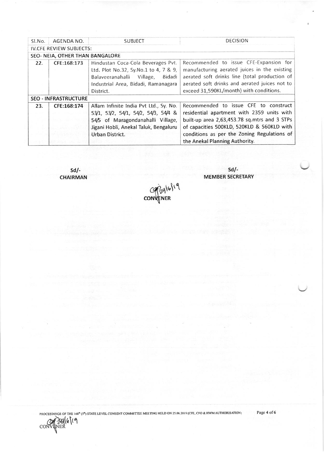| Sl.No.                      | AGENDA NO.                      | <b>SUBJECT</b>                                                                                                                                                                  | <b>DECISION</b>                                                                                                                                                                                                                                                    |
|-----------------------------|---------------------------------|---------------------------------------------------------------------------------------------------------------------------------------------------------------------------------|--------------------------------------------------------------------------------------------------------------------------------------------------------------------------------------------------------------------------------------------------------------------|
|                             | <b>IV.CFE REVIEW SUBJECTS:</b>  |                                                                                                                                                                                 |                                                                                                                                                                                                                                                                    |
|                             | SEO- NEIA, OTHER THAN BANGALORE |                                                                                                                                                                                 |                                                                                                                                                                                                                                                                    |
| 22.                         | CFE:168:173                     | Hindustan Coca-Cola Beverages Pvt.<br>Ltd. Plot No.32, Sy.No.1 to 4, 7 & 9,<br>Village,<br>Bidadi<br>Balaveeranahalli<br>Industrial Area, Bidadi, Ramanagara<br>District.       | Recommended to issue CFE-Expansion for<br>manufacturing aerated juices in the existing<br>aerated soft drinks line (total production of<br>aerated soft drinks and aerated juices not to<br>exceed 31,590KL/month) with conditions.                                |
| <b>SEO - INFRASTRUCTURE</b> |                                 |                                                                                                                                                                                 |                                                                                                                                                                                                                                                                    |
| 23.                         | CFE:168:174                     | Allam Infinite India Pvt Ltd., Sy. No.<br>53/1, 53/2, 54/1, 54/2, 54/3, 54/4 &<br>54/5 of Maragondanahalli Village,<br>Jigani Hobli, Anekal Taluk, Bengaluru<br>Urban District. | Recommended to issue CFE to construct<br>residential apartment with 2359 units with<br>built-up area 2,63,453.78 sq.mtrs and 3 STPs<br>of capacities 500KLD, 520KLD & 560KLD with<br>conditions as per the Zoning Regulations of<br>the Anekal Planning Authority. |

sdl-CHAIRMAN

sd/- MEMBER SECRETARY

COP3916119